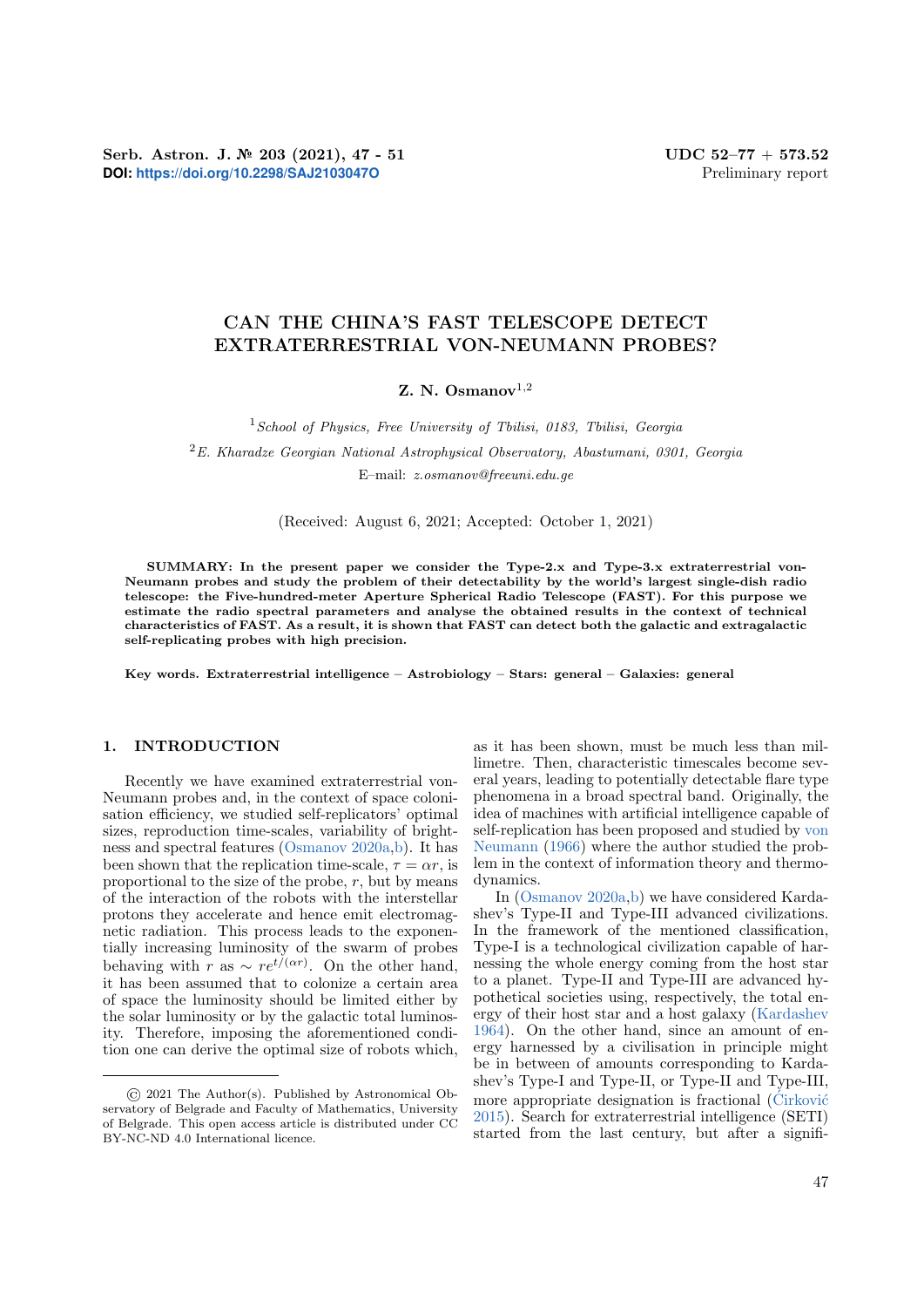Serb. Astron. J.  $\mathbb{N}^2$  203 (2021), 47 - 51 UDC 52-77 + 573.52 **DOI: <https://doi.org/10.2298/SAJ2103047O>** Preliminary report

# CAN THE CHINA'S FAST TELESCOPE DETECT EXTRATERRESTRIAL VON-NEUMANN PROBES?

Z. N. Osmanov $^{1,2}$ 

 $1$ School of Physics, Free University of Tbilisi, 0183, Tbilisi, Georgia

 ${}^{2}E$ . Kharadze Georgian National Astrophysical Observatory, Abastumani, 0301, Georgia

E–mail: z.osmanov@freeuni.edu.ge

(Received: August 6, 2021; Accepted: October 1, 2021)

SUMMARY: In the present paper we consider the Type-2.x and Type-3.x extraterrestrial von-Neumann probes and study the problem of their detectability by the world's largest single-dish radio telescope: the Five-hundred-meter Aperture Spherical Radio Telescope (FAST). For this purpose we estimate the radio spectral parameters and analyse the obtained results in the context of technical characteristics of FAST. As a result, it is shown that FAST can detect both the galactic and extragalactic self-replicating probes with high precision.

Key words. Extraterrestrial intelligence – Astrobiology – Stars: general – Galaxies: general

### 1. INTRODUCTION

Recently we have examined extraterrestrial von-Neumann probes and, in the context of space colonisation efficiency, we studied self-replicators' optimal sizes, reproduction time-scales, variability of brightness and spectral features [\(Osmanov](#page-4-0) [2020a](#page-4-0)[,b\)](#page-4-1). It has been shown that the replication time-scale,  $\tau = \alpha r$ , is proportional to the size of the probe,  $r$ , but by means of the interaction of the robots with the interstellar protons they accelerate and hence emit electromagnetic radiation. This process leads to the exponentially increasing luminosity of the swarm of probes behaving with r as  $\sim re^{t/(\alpha r)}$ . On the other hand, it has been assumed that to colonize a certain area of space the luminosity should be limited either by the solar luminosity or by the galactic total luminosity. Therefore, imposing the aforementioned condition one can derive the optimal size of robots which, as it has been shown, must be much less than millimetre. Then, characteristic timescales become several years, leading to potentially detectable flare type phenomena in a broad spectral band. Originally, the idea of machines with artificial intelligence capable of self-replication has been proposed and studied by [von](#page-4-2) [Neumann](#page-4-2) [\(1966\)](#page-4-2) where the author studied the problem in the context of information theory and thermodynamics.

In [\(Osmanov](#page-4-0) [2020a](#page-4-0)[,b\)](#page-4-1) we have considered Kardashev's Type-II and Type-III advanced civilizations. In the framework of the mentioned classification, Type-I is a technological civilization capable of harnessing the whole energy coming from the host star to a planet. Type-II and Type-III are advanced hypothetical societies using, respectively, the total energy of their host star and a host galaxy [\(Kardashev](#page-4-3) [1964\)](#page-4-3). On the other hand, since an amount of energy harnessed by a civilisation in principle might be in between of amounts corresponding to Kardashev's Type-I and Type-II, or Type-II and Type-III, more appropriate designation is fractional  $(\acute{C}irkovi\acute{c}$ [2015\)](#page-4-4). Search for extraterrestrial intelligence (SETI) started from the last century, but after a signifi-

<sup>©</sup> 2021 The Author(s). Published by Astronomical Observatory of Belgrade and Faculty of Mathematics, University of Belgrade. This open access article is distributed under CC BY-NC-ND 4.0 International licence.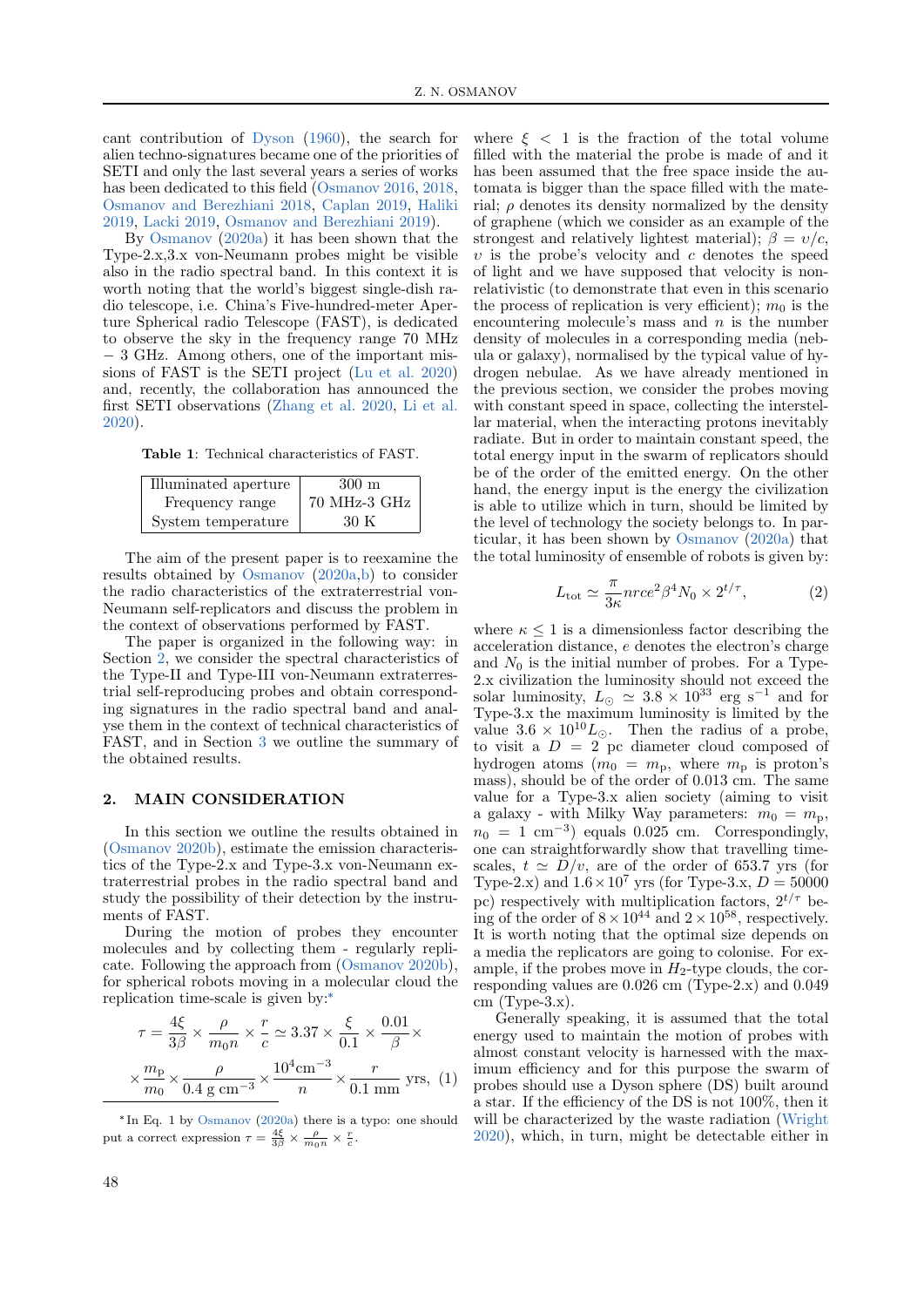cant contribution of [Dyson](#page-4-5) [\(1960\)](#page-4-5), the search for alien techno-signatures became one of the priorities of SETI and only the last several years a series of works has been dedicated to this field [\(Osmanov](#page-4-6) [2016,](#page-4-6) [2018,](#page-4-7) [Osmanov and Berezhiani](#page-4-8) [2018,](#page-4-8) [Caplan](#page-4-9) [2019,](#page-4-9) [Haliki](#page-4-10) [2019,](#page-4-10) [Lacki](#page-4-11) [2019,](#page-4-11) [Osmanov and Berezhiani](#page-4-12) [2019\)](#page-4-12).

By [Osmanov](#page-4-0) [\(2020a\)](#page-4-0) it has been shown that the Type-2.x,3.x von-Neumann probes might be visible also in the radio spectral band. In this context it is worth noting that the world's biggest single-dish radio telescope, i.e. China's Five-hundred-meter Aperture Spherical radio Telescope (FAST), is dedicated to observe the sky in the frequency range 70 MHz − 3 GHz. Among others, one of the important missions of FAST is the SETI project [\(Lu et al.](#page-4-13) [2020\)](#page-4-13) and, recently, the collaboration has announced the first SETI observations [\(Zhang et al.](#page-4-14) [2020,](#page-4-14) [Li et al.](#page-4-15) [2020\)](#page-4-15).

<span id="page-1-2"></span>Table 1: Technical characteristics of FAST.

| Illuminated aperture | 300 m        |
|----------------------|--------------|
| Frequency range      | 70 MHz-3 GHz |
| System temperature   | 30 K         |

The aim of the present paper is to reexamine the results obtained by [Osmanov](#page-4-0) [\(2020a,](#page-4-0)[b\)](#page-4-1) to consider the radio characteristics of the extraterrestrial von-Neumann self-replicators and discuss the problem in the context of observations performed by FAST.

The paper is organized in the following way: in Section [2,](#page-1-0) we consider the spectral characteristics of the Type-II and Type-III von-Neumann extraterrestrial self-reproducing probes and obtain corresponding signatures in the radio spectral band and analyse them in the context of technical characteristics of FAST, and in Section [3](#page-3-0) we outline the summary of the obtained results.

#### <span id="page-1-0"></span>2. MAIN CONSIDERATION

In this section we outline the results obtained in [\(Osmanov](#page-4-1) [2020b\)](#page-4-1), estimate the emission characteristics of the Type-2.x and Type-3.x von-Neumann extraterrestrial probes in the radio spectral band and study the possibility of their detection by the instruments of FAST.

During the motion of probes they encounter molecules and by collecting them - regularly replicate. Following the approach from [\(Osmanov](#page-4-1) [2020b\)](#page-4-1), for spherical robots moving in a molecular cloud the replication time-scale is given by:[\\*](#page-1-1)

$$
\tau = \frac{4\xi}{3\beta} \times \frac{\rho}{m_0 n} \times \frac{r}{c} \simeq 3.37 \times \frac{\xi}{0.1} \times \frac{0.01}{\beta} \times \frac{m_p}{m_0} \times \frac{\rho}{0.4 \text{ g cm}^{-3}} \times \frac{10^4 \text{cm}^{-3}}{n} \times \frac{r}{0.1 \text{ mm}} \text{ yrs}, (1)
$$

<span id="page-1-3"></span><span id="page-1-1"></span>\* In Eq. 1 by [Osmanov](#page-4-0) [\(2020a\)](#page-4-0) there is a typo: one should put a correct expression  $\tau = \frac{4\xi}{3\beta} \times \frac{\rho}{m_0 n} \times \frac{r}{c}$ .

where  $\xi \leq 1$  is the fraction of the total volume filled with the material the probe is made of and it has been assumed that the free space inside the automata is bigger than the space filled with the material;  $\rho$  denotes its density normalized by the density of graphene (which we consider as an example of the strongest and relatively lightest material);  $\beta = v/c$ ,  $v$  is the probe's velocity and  $c$  denotes the speed of light and we have supposed that velocity is nonrelativistic (to demonstrate that even in this scenario the process of replication is very efficient);  $m_0$  is the encountering molecule's mass and  $n$  is the number density of molecules in a corresponding media (nebula or galaxy), normalised by the typical value of hydrogen nebulae. As we have already mentioned in the previous section, we consider the probes moving with constant speed in space, collecting the interstellar material, when the interacting protons inevitably radiate. But in order to maintain constant speed, the total energy input in the swarm of replicators should be of the order of the emitted energy. On the other hand, the energy input is the energy the civilization is able to utilize which in turn, should be limited by the level of technology the society belongs to. In particular, it has been shown by [Osmanov](#page-4-0) [\(2020a\)](#page-4-0) that the total luminosity of ensemble of robots is given by:

<span id="page-1-4"></span>
$$
L_{\text{tot}} \simeq \frac{\pi}{3\kappa} n r c e^2 \beta^4 N_0 \times 2^{t/\tau},\tag{2}
$$

where  $\kappa \leq 1$  is a dimensionless factor describing the acceleration distance, e denotes the electron's charge and  $N_0$  is the initial number of probes. For a Type-2.x civilization the luminosity should not exceed the solar luminosity,  $L_{\odot} \simeq 3.8 \times 10^{33}$  erg s<sup>-1</sup> and for Type-3.x the maximum luminosity is limited by the value  $3.6 \times 10^{10} L_{\odot}$ . Then the radius of a probe, to visit a  $D = 2$  pc diameter cloud composed of hydrogen atoms  $(m_0 = m_p,$  where  $m_p$  is proton's mass), should be of the order of 0.013 cm. The same value for a Type-3.x alien society (aiming to visit a galaxy - with Milky Way parameters:  $m_0 = m_p$ ,  $n_0 = 1$  cm<sup>-3</sup>) equals 0.025 cm. Correspondingly, one can straightforwardly show that travelling timescales,  $t \approx \tilde{D}/v$ , are of the order of 653.7 yrs (for Type-2.x) and  $1.6 \times 10^7$  yrs (for Type-3.x,  $D = 50000$ pc) respectively with multiplication factors,  $2^{t/\tau}$  being of the order of  $8 \times 10^{44}$  and  $2 \times 10^{58}$ , respectively. It is worth noting that the optimal size depends on a media the replicators are going to colonise. For example, if the probes move in  $H_2$ -type clouds, the corresponding values are 0.026 cm (Type-2.x) and 0.049 cm  $(Tvpe-3.x)$ .

Generally speaking, it is assumed that the total energy used to maintain the motion of probes with almost constant velocity is harnessed with the maximum efficiency and for this purpose the swarm of probes should use a Dyson sphere (DS) built around a star. If the efficiency of the DS is not 100%, then it will be characterized by the waste radiation [\(Wright](#page-4-16) [2020\)](#page-4-16), which, in turn, might be detectable either in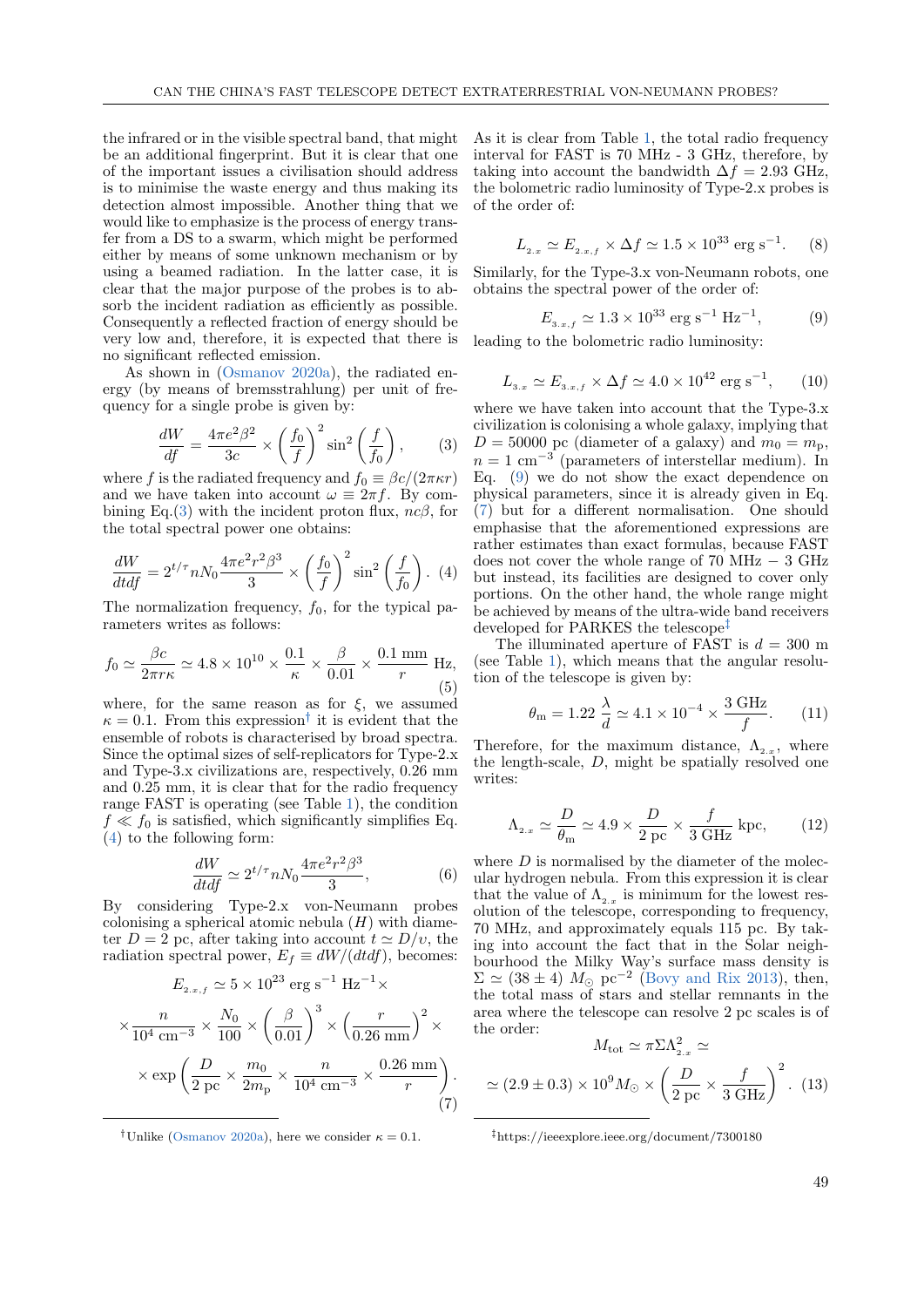the infrared or in the visible spectral band, that might be an additional fingerprint. But it is clear that one of the important issues a civilisation should address is to minimise the waste energy and thus making its detection almost impossible. Another thing that we would like to emphasize is the process of energy transfer from a DS to a swarm, which might be performed either by means of some unknown mechanism or by using a beamed radiation. In the latter case, it is clear that the major purpose of the probes is to absorb the incident radiation as efficiently as possible. Consequently a reflected fraction of energy should be very low and, therefore, it is expected that there is no significant reflected emission.

As shown in [\(Osmanov](#page-4-0) [2020a\)](#page-4-0), the radiated energy (by means of bremsstrahlung) per unit of frequency for a single probe is given by:

<span id="page-2-0"></span>
$$
\frac{dW}{df} = \frac{4\pi e^2 \beta^2}{3c} \times \left(\frac{f_0}{f}\right)^2 \sin^2\left(\frac{f}{f_0}\right),\tag{3}
$$

where f is the radiated frequency and  $f_0 \equiv \beta c/(2\pi \kappa r)$ and we have taken into account  $\omega \equiv 2\pi f$ . By com-bining Eq.[\(3\)](#page-2-0) with the incident proton flux,  $nc\beta$ , for the total spectral power one obtains:

<span id="page-2-2"></span>
$$
\frac{dW}{dt df} = 2^{t/\tau} n N_0 \frac{4\pi e^2 r^2 \beta^3}{3} \times \left(\frac{f_0}{f}\right)^2 \sin^2\left(\frac{f}{f_0}\right). \tag{4}
$$

The normalization frequency,  $f_0$ , for the typical parameters writes as follows:

$$
f_0 \simeq \frac{\beta c}{2\pi r\kappa} \simeq 4.8 \times 10^{10} \times \frac{0.1}{\kappa} \times \frac{\beta}{0.01} \times \frac{0.1 \text{ mm}}{r} \text{ Hz},\tag{5}
$$

where, for the same reason as for  $\xi$ , we assumed  $\kappa = 0.1$ . From this expression<sup>†</sup> it is evident that the ensemble of robots is characterised by broad spectra. Since the optimal sizes of self-replicators for Type-2.x and Type-3.x civilizations are, respectively, 0.26 mm and 0.25 mm, it is clear that for the radio frequency range FAST is operating (see Table [1\)](#page-1-2), the condition  $f \ll f_0$  is satisfied, which significantly simplifies Eq. [\(4\)](#page-2-2) to the following form:

<span id="page-2-7"></span>
$$
\frac{dW}{dt df} \simeq 2^{t/\tau} n N_0 \frac{4\pi e^2 r^2 \beta^3}{3},\tag{6}
$$

By considering Type-2.x von-Neumann probes colonising a spherical atomic nebula  $(H)$  with diameter  $D = 2$  pc, after taking into account  $t \approx D/v$ , the radiation spectral power,  $E_f \equiv dW/(dtdf)$ , becomes:

$$
E_{2,x,f} \simeq 5 \times 10^{23} \text{ erg s}^{-1} \text{ Hz}^{-1} \times
$$

$$
\times \frac{n}{10^4 \text{ cm}^{-3}} \times \frac{N_0}{100} \times \left(\frac{\beta}{0.01}\right)^3 \times \left(\frac{r}{0.26 \text{ mm}}\right)^2 \times
$$

$$
\times \exp\left(\frac{D}{2 \text{ pc}} \times \frac{m_0}{2m_\text{p}} \times \frac{n}{10^4 \text{ cm}^{-3}} \times \frac{0.26 \text{ mm}}{r}\right). \tag{7}
$$

<span id="page-2-4"></span><span id="page-2-1"></span><sup>†</sup>Unlike [\(Osmanov](#page-4-0) [2020a\)](#page-4-0), here we consider  $\kappa = 0.1$ .

As it is clear from Table [1,](#page-1-2) the total radio frequency interval for FAST is 70 MHz - 3 GHz, therefore, by taking into account the bandwidth  $\Delta f = 2.93$  GHz, the bolometric radio luminosity of Type-2.x probes is of the order of:

$$
L_{2.x} \simeq E_{2.x,f} \times \Delta f \simeq 1.5 \times 10^{33} \text{ erg s}^{-1}.
$$
 (8)

Similarly, for the Type-3.x von-Neumann robots, one obtains the spectral power of the order of:

<span id="page-2-3"></span>
$$
E_{3.x,f} \simeq 1.3 \times 10^{33} \text{ erg s}^{-1} \text{ Hz}^{-1}, \tag{9}
$$

leading to the bolometric radio luminosity:

$$
L_{3.x} \simeq E_{3.x,f} \times \Delta f \simeq 4.0 \times 10^{42} \text{ erg s}^{-1}, \qquad (10)
$$

where we have taken into account that the Type-3.x civilization is colonising a whole galaxy, implying that  $D = 50000$  pc (diameter of a galaxy) and  $m_0 = m_p$ ,  $n = 1$  cm<sup>-3</sup> (parameters of interstellar medium). In Eq. [\(9\)](#page-2-3) we do not show the exact dependence on physical parameters, since it is already given in Eq. [\(7\)](#page-2-4) but for a different normalisation. One should emphasise that the aforementioned expressions are rather estimates than exact formulas, because FAST does not cover the whole range of  $70$  MHz  $-$  3 GHz but instead, its facilities are designed to cover only portions. On the other hand, the whole range might be achieved by means of the ultra-wide band receivers developed for PARKES the telescope<sup>‡</sup>

The illuminated aperture of FAST is  $d = 300$  m (see Table [1\)](#page-1-2), which means that the angular resolution of the telescope is given by:

$$
\theta_{\rm m} = 1.22 \frac{\lambda}{d} \simeq 4.1 \times 10^{-4} \times \frac{3 \text{ GHz}}{f}.
$$
 (11)

Therefore, for the maximum distance,  $\Lambda_{2.x}$ , where the length-scale, D, might be spatially resolved one writes:

<span id="page-2-6"></span>
$$
\Lambda_{2.x} \simeq \frac{D}{\theta_{\rm m}} \simeq 4.9 \times \frac{D}{2 \text{ pc}} \times \frac{f}{3 \text{ GHz}} \text{ kpc},\qquad(12)
$$

where  $D$  is normalised by the diameter of the molecular hydrogen nebula. From this expression it is clear that the value of  $\Lambda_{2,x}$  is minimum for the lowest resolution of the telescope, corresponding to frequency, 70 MHz, and approximately equals 115 pc. By taking into account the fact that in the Solar neighbourhood the Milky Way's surface mass density is  $\Sigma \simeq (38 \pm 4)$   $M_{\odot}$  pc<sup>-2</sup> [\(Bovy and Rix](#page-4-17) [2013\)](#page-4-17), then, the total mass of stars and stellar remnants in the area where the telescope can resolve 2 pc scales is of the order:

$$
M_{\text{tot}} \simeq \pi \Sigma \Lambda_{2.x}^2 \simeq
$$
  

$$
\simeq (2.9 \pm 0.3) \times 10^9 M_{\odot} \times \left(\frac{D}{2 \text{ pc}} \times \frac{f}{3 \text{ GHz}}\right)^2.
$$
 (13)

<span id="page-2-5"></span>https://ieeexplore.ieee.org/document/7300180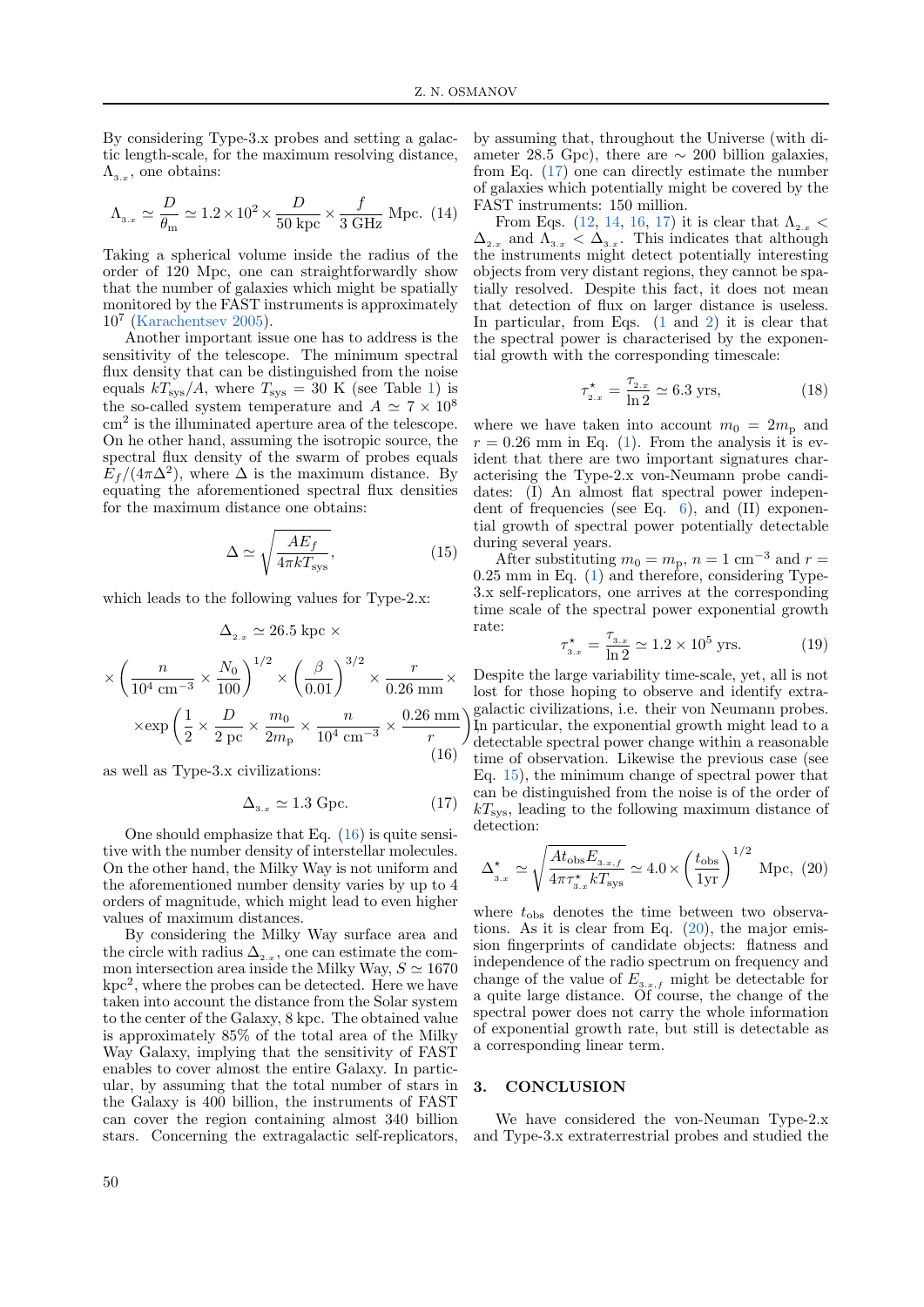By considering Type-3.x probes and setting a galactic length-scale, for the maximum resolving distance,  $\Lambda_{3.x}$ , one obtains:

<span id="page-3-3"></span>
$$
\Lambda_{3.x} \simeq \frac{D}{\theta_{\text{m}}} \simeq 1.2 \times 10^2 \times \frac{D}{50 \text{ kpc}} \times \frac{f}{3 \text{ GHz}} \text{ Mpc. (14)}
$$

Taking a spherical volume inside the radius of the order of 120 Mpc, one can straightforwardly show that the number of galaxies which might be spatially monitored by the FAST instruments is approximately 10<sup>7</sup> [\(Karachentsev](#page-4-18) [2005\)](#page-4-18).

Another important issue one has to address is the sensitivity of the telescope. The minimum spectral flux density that can be distinguished from the noise equals  $kT_{\rm sys}/A$ , where  $T_{\rm sys} = 30$  K (see Table [1\)](#page-1-2) is the so-called system temperature and  $A \simeq 7 \times 10^8$ cm<sup>2</sup> is the illuminated aperture area of the telescope. On he other hand, assuming the isotropic source, the spectral flux density of the swarm of probes equals  $E_f/(4\pi\Delta^2)$ , where  $\Delta$  is the maximum distance. By equating the aforementioned spectral flux densities for the maximum distance one obtains:

<span id="page-3-4"></span>
$$
\Delta \simeq \sqrt{\frac{AE_f}{4\pi k T_{\rm sys}}},\tag{15}
$$

which leads to the following values for Type-2.x:

$$
\Delta_{2.x} \simeq 26.5 \text{ kpc} \times
$$

$$
\times \left(\frac{n}{10^4 \text{ cm}^{-3}} \times \frac{N_0}{100}\right)^{1/2} \times \left(\frac{\beta}{0.01}\right)^{3/2} \times \frac{r}{0.26 \text{ mm}} \times
$$

$$
\times \exp\left(\frac{1}{2} \times \frac{D}{2 \text{ pc}} \times \frac{m_0}{2m_\text{p}} \times \frac{n}{10^4 \text{ cm}^{-3}} \times \frac{0.26 \text{ mm}}{r}\right)
$$
(16)

<span id="page-3-1"></span>as well as Type-3.x civilizations:

<span id="page-3-2"></span>
$$
\Delta_{3.x} \simeq 1.3 \text{ Gpc.} \tag{17}
$$

One should emphasize that Eq.  $(16)$  is quite sensitive with the number density of interstellar molecules. On the other hand, the Milky Way is not uniform and the aforementioned number density varies by up to 4 orders of magnitude, which might lead to even higher values of maximum distances.

By considering the Milky Way surface area and the circle with radius  $\Delta_{2.x}$ , one can estimate the common intersection area inside the Milky Way,  $S \simeq 1670$  $kpc<sup>2</sup>$ , where the probes can be detected. Here we have taken into account the distance from the Solar system to the center of the Galaxy, 8 kpc. The obtained value is approximately 85% of the total area of the Milky Way Galaxy, implying that the sensitivity of FAST enables to cover almost the entire Galaxy. In particular, by assuming that the total number of stars in the Galaxy is 400 billion, the instruments of FAST can cover the region containing almost 340 billion stars. Concerning the extragalactic self-replicators,

From Eqs. [\(12,](#page-2-6) [14,](#page-3-3) [16,](#page-3-1) [17\)](#page-3-2) it is clear that  $\Lambda_{2,x}$  <  $\Delta_{2,x}$  and  $\Lambda_{3,x} < \Delta_{3,x}$ . This indicates that although the instruments might detect potentially interesting objects from very distant regions, they cannot be spatially resolved. Despite this fact, it does not mean that detection of flux on larger distance is useless. In particular, from Eqs. [\(1](#page-1-3) and [2\)](#page-1-4) it is clear that the spectral power is characterised by the exponential growth with the corresponding timescale:

$$
\tau_{2.x}^{\star} = \frac{\tau_{2.x}}{\ln 2} \simeq 6.3 \text{ yrs},\tag{18}
$$

where we have taken into account  $m_0 = 2m_p$  and  $r = 0.26$  mm in Eq. [\(1\)](#page-1-3). From the analysis it is evident that there are two important signatures characterising the Type-2.x von-Neumann probe candidates: (I) An almost flat spectral power independent of frequencies (see Eq. [6\)](#page-2-7), and (II) exponential growth of spectral power potentially detectable during several years.

After substituting  $m_0 = m_p$ ,  $n = 1$  cm<sup>-3</sup> and  $r =$ 0.25 mm in Eq. [\(1\)](#page-1-3) and therefore, considering Type-3.x self-replicators, one arrives at the corresponding time scale of the spectral power exponential growth rate:

$$
\tau_{3.x}^{\star} = \frac{\tau_{3.x}}{\ln 2} \simeq 1.2 \times 10^5 \text{ yrs.}
$$
 (19)

 $\setminus$ , In particular, the exponential growth might lead to a Despite the large variability time-scale, yet, all is not lost for those hoping to observe and identify extragalactic civilizations, i.e. their von Neumann probes. detectable spectral power change within a reasonable time of observation. Likewise the previous case (see Eq. [15\)](#page-3-4), the minimum change of spectral power that can be distinguished from the noise is of the order of  $kT<sub>sys</sub>$ , leading to the following maximum distance of detection:

<span id="page-3-5"></span>
$$
\Delta_{3.x}^{\star} \simeq \sqrt{\frac{At_{\text{obs}}E_{3.x,f}}{4\pi\tau_{3.x}^{\star}kT_{\text{sys}}}} \simeq 4.0 \times \left(\frac{t_{\text{obs}}}{1\text{yr}}\right)^{1/2} \text{Mpc}, \tag{20}
$$

where  $t_{obs}$  denotes the time between two observations. As it is clear from Eq.  $(20)$ , the major emission fingerprints of candidate objects: flatness and independence of the radio spectrum on frequency and change of the value of  $E_{3,x,f}$  might be detectable for a quite large distance. Of course, the change of the spectral power does not carry the whole information of exponential growth rate, but still is detectable as a corresponding linear term.

#### <span id="page-3-0"></span>3. CONCLUSION

We have considered the von-Neuman Type-2.x and Type-3.x extraterrestrial probes and studied the